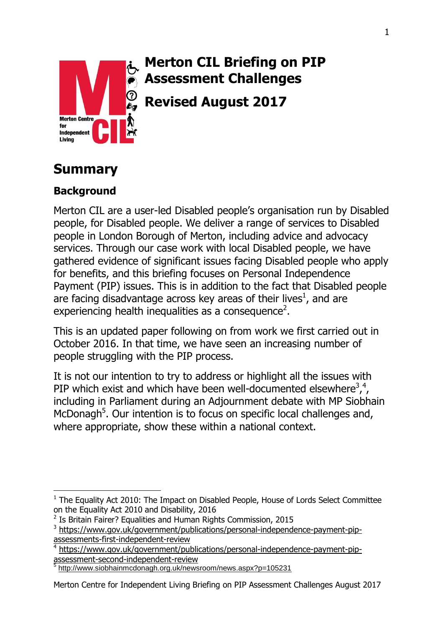

# **Merton CIL Briefing on PIP Assessment Challenges**

**Revised August 2017**

# **Summary**

## **Background**

Merton CIL are a user-led Disabled people's organisation run by Disabled people, for Disabled people. We deliver a range of services to Disabled people in London Borough of Merton, including advice and advocacy services. Through our case work with local Disabled people, we have gathered evidence of significant issues facing Disabled people who apply for benefits, and this briefing focuses on Personal Independence Payment (PIP) issues. This is in addition to the fact that Disabled people are facing disadvantage across key areas of their lives<sup>1</sup>, and are experiencing health inequalities as a consequence<sup>2</sup>.

This is an updated paper following on from work we first carried out in October 2016. In that time, we have seen an increasing number of people struggling with the PIP process.

It is not our intention to try to address or highlight all the issues with PIP which exist and which have been well-documented elsewhere<sup>3,4</sup>, including in Parliament during an Adjournment debate with MP Siobhain McDonagh<sup>5</sup>. Our intention is to focus on specific local challenges and, where appropriate, show these within a national context.

 $\overline{a}$  $1$  The Equality Act 2010: The Impact on Disabled People, House of Lords Select Committee on the Equality Act 2010 and Disability, 2016

<sup>&</sup>lt;sup>2</sup> Is Britain Fairer? Equalities and Human Rights Commission, 2015

<sup>&</sup>lt;sup>3</sup> [https://www.gov.uk/government/publications/personal-independence-payment-pip](https://www.gov.uk/government/publications/personal-independence-payment-pip-assessments-first-independent-review)[assessments-first-independent-review](https://www.gov.uk/government/publications/personal-independence-payment-pip-assessments-first-independent-review)

<sup>4</sup> [https://www.gov.uk/government/publications/personal-independence-payment-pip](https://www.gov.uk/government/publications/personal-independence-payment-pip-assessment-second-independent-review)[assessment-second-independent-review](https://www.gov.uk/government/publications/personal-independence-payment-pip-assessment-second-independent-review)<br>5 http://www.eisbbeinmedepeab.org.uk/pow

<http://www.siobhainmcdonagh.org.uk/newsroom/news.aspx?p=105231>

Merton Centre for Independent Living Briefing on PIP Assessment Challenges August 2017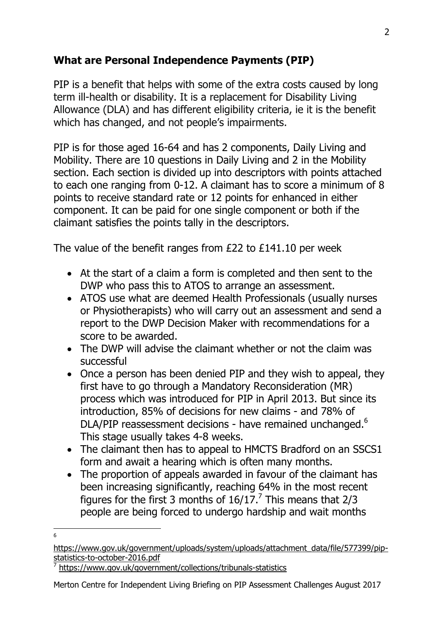## **What are Personal Independence Payments (PIP)**

PIP is a benefit that helps with some of the extra costs caused by long term ill-health or disability. It is a replacement for Disability Living Allowance (DLA) and has different eligibility criteria, ie it is the benefit which has changed, and not people's impairments.

PIP is for those aged 16-64 and has 2 components, Daily Living and Mobility. There are 10 questions in Daily Living and 2 in the Mobility section. Each section is divided up into descriptors with points attached to each one ranging from 0-12. A claimant has to score a minimum of 8 points to receive standard rate or 12 points for enhanced in either component. It can be paid for one single component or both if the claimant satisfies the points tally in the descriptors.

The value of the benefit ranges from £22 to £141.10 per week

- At the start of a claim a form is completed and then sent to the DWP who pass this to ATOS to arrange an assessment.
- ATOS use what are deemed Health Professionals (usually nurses or Physiotherapists) who will carry out an assessment and send a report to the DWP Decision Maker with recommendations for a score to be awarded.
- The DWP will advise the claimant whether or not the claim was successful
- Once a person has been denied PIP and they wish to appeal, they first have to go through a Mandatory Reconsideration (MR) process which was introduced for PIP in April 2013. But since its introduction, 85% of decisions for new claims - and 78% of DLA/PIP reassessment decisions - have remained unchanged.<sup>6</sup> This stage usually takes 4-8 weeks.
- The claimant then has to appeal to HMCTS Bradford on an SSCS1 form and await a hearing which is often many months.
- The proportion of appeals awarded in favour of the claimant has been increasing significantly, reaching 64% in the most recent figures for the first 3 months of  $16/17$ .<sup>7</sup> This means that 2/3 people are being forced to undergo hardship and wait months
- $\overline{6}$

7 <https://www.gov.uk/government/collections/tribunals-statistics>

[https://www.gov.uk/government/uploads/system/uploads/attachment\\_data/file/577399/pip](https://www.gov.uk/government/uploads/system/uploads/attachment_data/file/577399/pip-statistics-to-october-2016.pdf)[statistics-to-october-2016.pdf](https://www.gov.uk/government/uploads/system/uploads/attachment_data/file/577399/pip-statistics-to-october-2016.pdf)

Merton Centre for Independent Living Briefing on PIP Assessment Challenges August 2017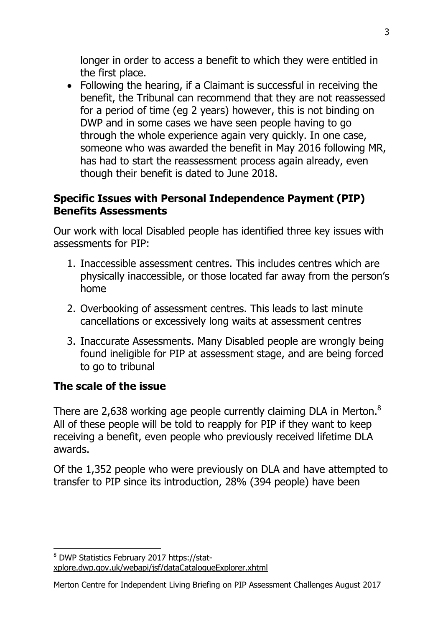longer in order to access a benefit to which they were entitled in the first place.

 Following the hearing, if a Claimant is successful in receiving the benefit, the Tribunal can recommend that they are not reassessed for a period of time (eg 2 years) however, this is not binding on DWP and in some cases we have seen people having to go through the whole experience again very quickly. In one case, someone who was awarded the benefit in May 2016 following MR, has had to start the reassessment process again already, even though their benefit is dated to June 2018.

### **Specific Issues with Personal Independence Payment (PIP) Benefits Assessments**

Our work with local Disabled people has identified three key issues with assessments for PIP:

- 1. Inaccessible assessment centres. This includes centres which are physically inaccessible, or those located far away from the person's home
- 2. Overbooking of assessment centres. This leads to last minute cancellations or excessively long waits at assessment centres
- 3. Inaccurate Assessments. Many Disabled people are wrongly being found ineligible for PIP at assessment stage, and are being forced to go to tribunal

## **The scale of the issue**

 $\overline{a}$ 

There are 2,638 working age people currently claiming DLA in Merton.<sup>8</sup> All of these people will be told to reapply for PIP if they want to keep receiving a benefit, even people who previously received lifetime DLA awards.

Of the 1,352 people who were previously on DLA and have attempted to transfer to PIP since its introduction, 28% (394 people) have been

<sup>8</sup> DWP Statistics February 2017 [https://stat](https://stat-xplore.dwp.gov.uk/webapi/jsf/dataCatalogueExplorer.xhtml)[xplore.dwp.gov.uk/webapi/jsf/dataCatalogueExplorer.xhtml](https://stat-xplore.dwp.gov.uk/webapi/jsf/dataCatalogueExplorer.xhtml)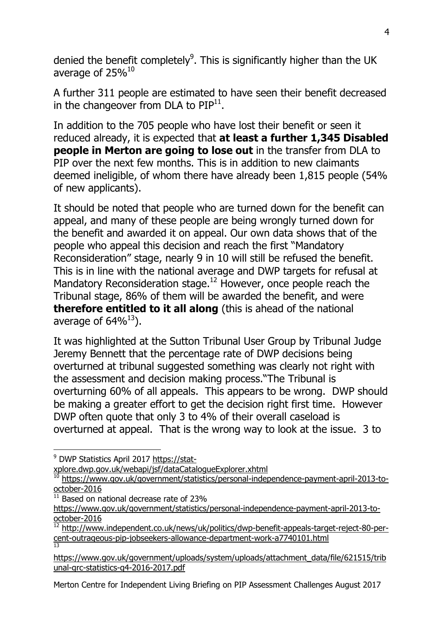denied the benefit completely<sup>9</sup>. This is significantly higher than the UK average of 25%<sup>10</sup>

A further 311 people are estimated to have seen their benefit decreased in the changeover from DLA to  $\text{PIP}^{11}$ .

In addition to the 705 people who have lost their benefit or seen it reduced already, it is expected that **at least a further 1,345 Disabled people in Merton are going to lose out** in the transfer from DLA to PIP over the next few months. This is in addition to new claimants deemed ineligible, of whom there have already been 1,815 people (54% of new applicants).

It should be noted that people who are turned down for the benefit can appeal, and many of these people are being wrongly turned down for the benefit and awarded it on appeal. Our own data shows that of the people who appeal this decision and reach the first "Mandatory Reconsideration" stage, nearly 9 in 10 will still be refused the benefit. This is in line with the national average and DWP targets for refusal at Mandatory Reconsideration stage.<sup>12</sup> However, once people reach the Tribunal stage, 86% of them will be awarded the benefit, and were **therefore entitled to it all along** (this is ahead of the national average of  $64\%^{13}$ ).

It was highlighted at the Sutton Tribunal User Group by Tribunal Judge Jeremy Bennett that the percentage rate of DWP decisions being overturned at tribunal suggested something was clearly not right with the assessment and decision making process."The Tribunal is overturning 60% of all appeals. This appears to be wrong. DWP should be making a greater effort to get the decision right first time. However DWP often quote that only 3 to 4% of their overall caseload is overturned at appeal. That is the wrong way to look at the issue. 3 to

 $\overline{a}$ 

[xplore.dwp.gov.uk/webapi/jsf/dataCatalogueExplorer.xhtml](https://stat-xplore.dwp.gov.uk/webapi/jsf/dataCatalogueExplorer.xhtml)

Based on national decrease rate of 23%

<sup>9</sup> DWP Statistics April 2017 [https://stat-](https://stat-xplore.dwp.gov.uk/webapi/jsf/dataCatalogueExplorer.xhtml)

<sup>&</sup>lt;sup>10</sup> [https://www.gov.uk/government/statistics/personal-independence-payment-april-2013-to](https://www.gov.uk/government/statistics/personal-independence-payment-april-2013-to-october-2016)[october-2016](https://www.gov.uk/government/statistics/personal-independence-payment-april-2013-to-october-2016)

[https://www.gov.uk/government/statistics/personal-independence-payment-april-2013-to](https://www.gov.uk/government/statistics/personal-independence-payment-april-2013-to-october-2016)[october-2016](https://www.gov.uk/government/statistics/personal-independence-payment-april-2013-to-october-2016)

 $\frac{12}{12}$  [http://www.independent.co.uk/news/uk/politics/dwp-benefit-appeals-target-reject-80-per](http://www.independent.co.uk/news/uk/politics/dwp-benefit-appeals-target-reject-80-per-cent-outrageous-pip-jobseekers-allowance-department-work-a7740101.html)[cent-outrageous-pip-jobseekers-allowance-department-work-a7740101.html](http://www.independent.co.uk/news/uk/politics/dwp-benefit-appeals-target-reject-80-per-cent-outrageous-pip-jobseekers-allowance-department-work-a7740101.html) 13

[https://www.gov.uk/government/uploads/system/uploads/attachment\\_data/file/621515/trib](https://www.gov.uk/government/uploads/system/uploads/attachment_data/file/621515/tribunal-grc-statistics-q4-2016-2017.pdf) [unal-grc-statistics-q4-2016-2017.pdf](https://www.gov.uk/government/uploads/system/uploads/attachment_data/file/621515/tribunal-grc-statistics-q4-2016-2017.pdf)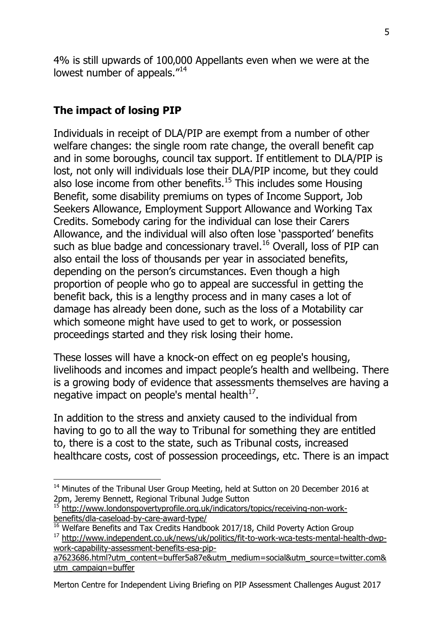4% is still upwards of 100,000 Appellants even when we were at the lowest number of appeals."<sup>14</sup>

## **The impact of losing PIP**

 $\overline{a}$ 

Individuals in receipt of DLA/PIP are exempt from a number of other welfare changes: the single room rate change, the overall benefit cap and in some boroughs, council tax support. If entitlement to DLA/PIP is lost, not only will individuals lose their DLA/PIP income, but they could also lose income from other benefits. $15$  This includes some Housing Benefit, some disability premiums on types of Income Support, Job Seekers Allowance, Employment Support Allowance and Working Tax Credits. Somebody caring for the individual can lose their Carers Allowance, and the individual will also often lose 'passported' benefits such as blue badge and concessionary travel.<sup>16</sup> Overall, loss of PIP can also entail the loss of thousands per year in associated benefits, depending on the person's circumstances. Even though a high proportion of people who go to appeal are successful in getting the benefit back, this is a lengthy process and in many cases a lot of damage has already been done, such as the loss of a Motability car which someone might have used to get to work, or possession proceedings started and they risk losing their home.

These losses will have a knock-on effect on eg people's housing, livelihoods and incomes and impact people's health and wellbeing. There is a growing body of evidence that assessments themselves are having a negative impact on people's mental health $^{17}$ .

In addition to the stress and anxiety caused to the individual from having to go to all the way to Tribunal for something they are entitled to, there is a cost to the state, such as Tribunal costs, increased healthcare costs, cost of possession proceedings, etc. There is an impact

Merton Centre for Independent Living Briefing on PIP Assessment Challenges August 2017

<sup>&</sup>lt;sup>14</sup> Minutes of the Tribunal User Group Meeting, held at Sutton on 20 December 2016 at 2pm, Jeremy Bennett, Regional Tribunal Judge Sutton

<sup>&</sup>lt;sup>15</sup> [http://www.londonspovertyprofile.org.uk/indicators/topics/receiving-non-work](http://www.londonspovertyprofile.org.uk/indicators/topics/receiving-non-work-benefits/dla-caseload-by-care-award-type/)[benefits/dla-caseload-by-care-award-type/](http://www.londonspovertyprofile.org.uk/indicators/topics/receiving-non-work-benefits/dla-caseload-by-care-award-type/)

<sup>&</sup>lt;sup>16</sup> Welfare Benefits and Tax Credits Handbook 2017/18, Child Poverty Action Group

<sup>&</sup>lt;sup>17</sup> [http://www.independent.co.uk/news/uk/politics/fit-to-work-wca-tests-mental-health-dwp](http://www.independent.co.uk/news/uk/politics/fit-to-work-wca-tests-mental-health-dwp-work-capability-assessment-benefits-esa-pip-a7623686.html?utm_content=buffer5a87e&utm_medium=social&utm_source=twitter.com&utm_campaign=buffer)[work-capability-assessment-benefits-esa-pip-](http://www.independent.co.uk/news/uk/politics/fit-to-work-wca-tests-mental-health-dwp-work-capability-assessment-benefits-esa-pip-a7623686.html?utm_content=buffer5a87e&utm_medium=social&utm_source=twitter.com&utm_campaign=buffer)

[a7623686.html?utm\\_content=buffer5a87e&utm\\_medium=social&utm\\_source=twitter.com&](http://www.independent.co.uk/news/uk/politics/fit-to-work-wca-tests-mental-health-dwp-work-capability-assessment-benefits-esa-pip-a7623686.html?utm_content=buffer5a87e&utm_medium=social&utm_source=twitter.com&utm_campaign=buffer) [utm\\_campaign=buffer](http://www.independent.co.uk/news/uk/politics/fit-to-work-wca-tests-mental-health-dwp-work-capability-assessment-benefits-esa-pip-a7623686.html?utm_content=buffer5a87e&utm_medium=social&utm_source=twitter.com&utm_campaign=buffer)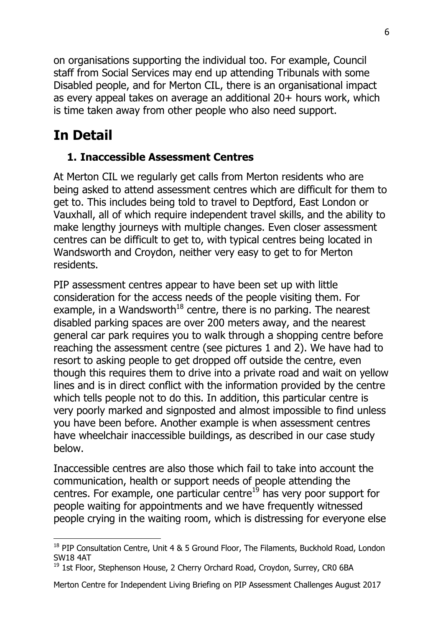on organisations supporting the individual too. For example, Council staff from Social Services may end up attending Tribunals with some Disabled people, and for Merton CIL, there is an organisational impact as every appeal takes on average an additional 20+ hours work, which is time taken away from other people who also need support.

# **In Detail**

 $\overline{a}$ 

## **1. Inaccessible Assessment Centres**

At Merton CIL we regularly get calls from Merton residents who are being asked to attend assessment centres which are difficult for them to get to. This includes being told to travel to Deptford, East London or Vauxhall, all of which require independent travel skills, and the ability to make lengthy journeys with multiple changes. Even closer assessment centres can be difficult to get to, with typical centres being located in Wandsworth and Croydon, neither very easy to get to for Merton residents.

PIP assessment centres appear to have been set up with little consideration for the access needs of the people visiting them. For example, in a Wandsworth<sup>18</sup> centre, there is no parking. The nearest disabled parking spaces are over 200 meters away, and the nearest general car park requires you to walk through a shopping centre before reaching the assessment centre (see pictures 1 and 2). We have had to resort to asking people to get dropped off outside the centre, even though this requires them to drive into a private road and wait on yellow lines and is in direct conflict with the information provided by the centre which tells people not to do this. In addition, this particular centre is very poorly marked and signposted and almost impossible to find unless you have been before. Another example is when assessment centres have wheelchair inaccessible buildings, as described in our case study below.

Inaccessible centres are also those which fail to take into account the communication, health or support needs of people attending the centres. For example, one particular centre $19$  has very poor support for people waiting for appointments and we have frequently witnessed people crying in the waiting room, which is distressing for everyone else

<sup>&</sup>lt;sup>18</sup> PIP Consultation Centre, Unit 4 & 5 Ground Floor, The Filaments, Buckhold Road, London SW18 4AT

<sup>&</sup>lt;sup>19</sup> 1st Floor, Stephenson House, 2 Cherry Orchard Road, Croydon, Surrey, CR0 6BA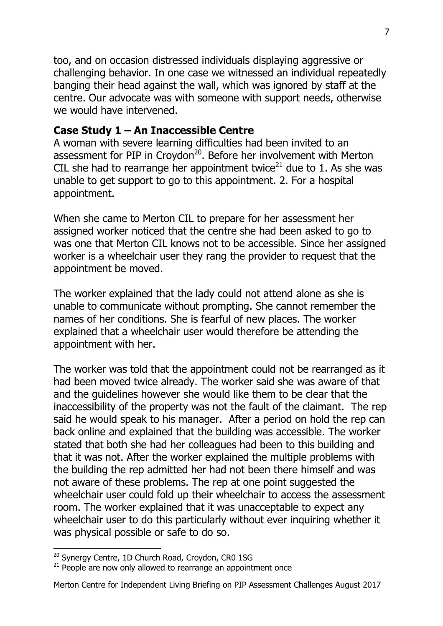too, and on occasion distressed individuals displaying aggressive or challenging behavior. In one case we witnessed an individual repeatedly banging their head against the wall, which was ignored by staff at the centre. Our advocate was with someone with support needs, otherwise we would have intervened.

#### **Case Study 1 – An Inaccessible Centre**

A woman with severe learning difficulties had been invited to an assessment for PIP in Croydon<sup>20</sup>. Before her involvement with Merton CIL she had to rearrange her appointment twice<sup>21</sup> due to 1. As she was unable to get support to go to this appointment. 2. For a hospital appointment.

When she came to Merton CIL to prepare for her assessment her assigned worker noticed that the centre she had been asked to go to was one that Merton CIL knows not to be accessible. Since her assigned worker is a wheelchair user they rang the provider to request that the appointment be moved.

The worker explained that the lady could not attend alone as she is unable to communicate without prompting. She cannot remember the names of her conditions. She is fearful of new places. The worker explained that a wheelchair user would therefore be attending the appointment with her.

The worker was told that the appointment could not be rearranged as it had been moved twice already. The worker said she was aware of that and the guidelines however she would like them to be clear that the inaccessibility of the property was not the fault of the claimant. The rep said he would speak to his manager. After a period on hold the rep can back online and explained that the building was accessible. The worker stated that both she had her colleagues had been to this building and that it was not. After the worker explained the multiple problems with the building the rep admitted her had not been there himself and was not aware of these problems. The rep at one point suggested the wheelchair user could fold up their wheelchair to access the assessment room. The worker explained that it was unacceptable to expect any wheelchair user to do this particularly without ever inquiring whether it was physical possible or safe to do so.

 $\overline{a}$ <sup>20</sup> Synergy Centre, 1D Church Road, Croydon, CR0 1SG

 $21$  People are now only allowed to rearrange an appointment once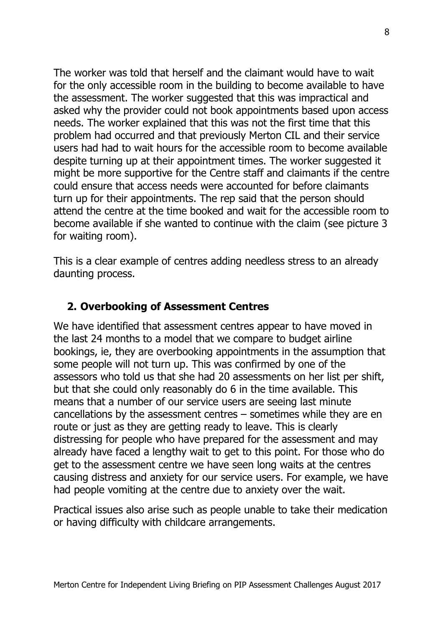The worker was told that herself and the claimant would have to wait for the only accessible room in the building to become available to have the assessment. The worker suggested that this was impractical and asked why the provider could not book appointments based upon access needs. The worker explained that this was not the first time that this problem had occurred and that previously Merton CIL and their service users had had to wait hours for the accessible room to become available despite turning up at their appointment times. The worker suggested it might be more supportive for the Centre staff and claimants if the centre could ensure that access needs were accounted for before claimants turn up for their appointments. The rep said that the person should attend the centre at the time booked and wait for the accessible room to become available if she wanted to continue with the claim (see picture 3 for waiting room).

This is a clear example of centres adding needless stress to an already daunting process.

### **2. Overbooking of Assessment Centres**

We have identified that assessment centres appear to have moved in the last 24 months to a model that we compare to budget airline bookings, ie, they are overbooking appointments in the assumption that some people will not turn up. This was confirmed by one of the assessors who told us that she had 20 assessments on her list per shift, but that she could only reasonably do 6 in the time available. This means that a number of our service users are seeing last minute cancellations by the assessment centres – sometimes while they are en route or just as they are getting ready to leave. This is clearly distressing for people who have prepared for the assessment and may already have faced a lengthy wait to get to this point. For those who do get to the assessment centre we have seen long waits at the centres causing distress and anxiety for our service users. For example, we have had people vomiting at the centre due to anxiety over the wait.

Practical issues also arise such as people unable to take their medication or having difficulty with childcare arrangements.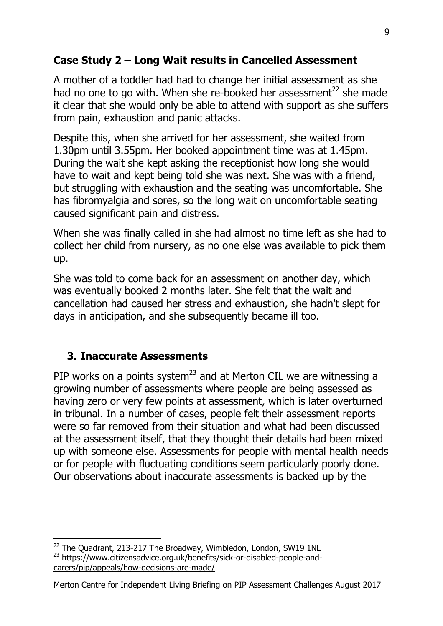## **Case Study 2 – Long Wait results in Cancelled Assessment**

A mother of a toddler had had to change her initial assessment as she had no one to go with. When she re-booked her assessment<sup>22</sup> she made it clear that she would only be able to attend with support as she suffers from pain, exhaustion and panic attacks.

Despite this, when she arrived for her assessment, she waited from 1.30pm until 3.55pm. Her booked appointment time was at 1.45pm. During the wait she kept asking the receptionist how long she would have to wait and kept being told she was next. She was with a friend, but struggling with exhaustion and the seating was uncomfortable. She has fibromyalgia and sores, so the long wait on uncomfortable seating caused significant pain and distress.

When she was finally called in she had almost no time left as she had to collect her child from nursery, as no one else was available to pick them up.

She was told to come back for an assessment on another day, which was eventually booked 2 months later. She felt that the wait and cancellation had caused her stress and exhaustion, she hadn't slept for days in anticipation, and she subsequently became ill too.

### **3. Inaccurate Assessments**

 $\overline{a}$ 

PIP works on a points system<sup>23</sup> and at Merton CIL we are witnessing a growing number of assessments where people are being assessed as having zero or very few points at assessment, which is later overturned in tribunal. In a number of cases, people felt their assessment reports were so far removed from their situation and what had been discussed at the assessment itself, that they thought their details had been mixed up with someone else. Assessments for people with mental health needs or for people with fluctuating conditions seem particularly poorly done. Our observations about inaccurate assessments is backed up by the

 $22$  The Quadrant, 213-217 The Broadway, Wimbledon, London, SW19 1NL <sup>23</sup> [https://www.citizensadvice.org.uk/benefits/sick-or-disabled-people-and](https://www.citizensadvice.org.uk/benefits/sick-or-disabled-people-and-carers/pip/appeals/how-decisions-are-made/)[carers/pip/appeals/how-decisions-are-made/](https://www.citizensadvice.org.uk/benefits/sick-or-disabled-people-and-carers/pip/appeals/how-decisions-are-made/)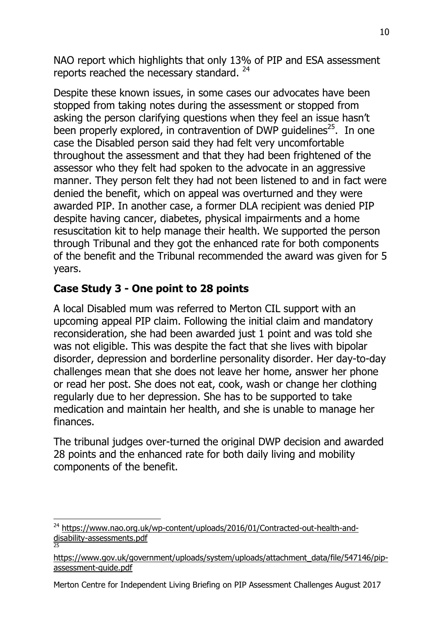NAO report which highlights that only 13% of PIP and ESA assessment reports reached the necessary standard. <sup>24</sup>

Despite these known issues, in some cases our advocates have been stopped from taking notes during the assessment or stopped from asking the person clarifying questions when they feel an issue hasn't been properly explored, in contravention of DWP guidelines<sup>25</sup>. In one case the Disabled person said they had felt very uncomfortable throughout the assessment and that they had been frightened of the assessor who they felt had spoken to the advocate in an aggressive manner. They person felt they had not been listened to and in fact were denied the benefit, which on appeal was overturned and they were awarded PIP. In another case, a former DLA recipient was denied PIP despite having cancer, diabetes, physical impairments and a home resuscitation kit to help manage their health. We supported the person through Tribunal and they got the enhanced rate for both components of the benefit and the Tribunal recommended the award was given for 5 years.

## **Case Study 3 - One point to 28 points**

A local Disabled mum was referred to Merton CIL support with an upcoming appeal PIP claim. Following the initial claim and mandatory reconsideration, she had been awarded just 1 point and was told she was not eligible. This was despite the fact that she lives with bipolar disorder, depression and borderline personality disorder. Her day-to-day challenges mean that she does not leave her home, answer her phone or read her post. She does not eat, cook, wash or change her clothing regularly due to her depression. She has to be supported to take medication and maintain her health, and she is unable to manage her finances.

The tribunal judges over-turned the original DWP decision and awarded 28 points and the enhanced rate for both daily living and mobility components of the benefit.

Merton Centre for Independent Living Briefing on PIP Assessment Challenges August 2017

 $\overline{a}$ <sup>24</sup> [https://www.nao.org.uk/wp-content/uploads/2016/01/Contracted-out-health-and](https://www.nao.org.uk/wp-content/uploads/2016/01/Contracted-out-health-and-disability-assessments.pdf)[disability-assessments.pdf](https://www.nao.org.uk/wp-content/uploads/2016/01/Contracted-out-health-and-disability-assessments.pdf) 25

[https://www.gov.uk/government/uploads/system/uploads/attachment\\_data/file/547146/pip](https://www.gov.uk/government/uploads/system/uploads/attachment_data/file/547146/pip-assessment-guide.pdf)[assessment-guide.pdf](https://www.gov.uk/government/uploads/system/uploads/attachment_data/file/547146/pip-assessment-guide.pdf)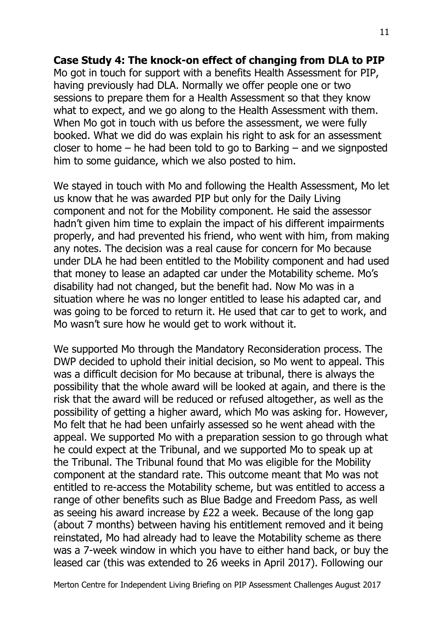#### **Case Study 4: The knock-on effect of changing from DLA to PIP**

Mo got in touch for support with a benefits Health Assessment for PIP, having previously had DLA. Normally we offer people one or two sessions to prepare them for a Health Assessment so that they know what to expect, and we go along to the Health Assessment with them. When Mo got in touch with us before the assessment, we were fully booked. What we did do was explain his right to ask for an assessment closer to home – he had been told to go to Barking – and we signposted him to some guidance, which we also posted to him.

We stayed in touch with Mo and following the Health Assessment, Mo let us know that he was awarded PIP but only for the Daily Living component and not for the Mobility component. He said the assessor hadn't given him time to explain the impact of his different impairments properly, and had prevented his friend, who went with him, from making any notes. The decision was a real cause for concern for Mo because under DLA he had been entitled to the Mobility component and had used that money to lease an adapted car under the Motability scheme. Mo's disability had not changed, but the benefit had. Now Mo was in a situation where he was no longer entitled to lease his adapted car, and was going to be forced to return it. He used that car to get to work, and Mo wasn't sure how he would get to work without it.

We supported Mo through the Mandatory Reconsideration process. The DWP decided to uphold their initial decision, so Mo went to appeal. This was a difficult decision for Mo because at tribunal, there is always the possibility that the whole award will be looked at again, and there is the risk that the award will be reduced or refused altogether, as well as the possibility of getting a higher award, which Mo was asking for. However, Mo felt that he had been unfairly assessed so he went ahead with the appeal. We supported Mo with a preparation session to go through what he could expect at the Tribunal, and we supported Mo to speak up at the Tribunal. The Tribunal found that Mo was eligible for the Mobility component at the standard rate. This outcome meant that Mo was not entitled to re-access the Motability scheme, but was entitled to access a range of other benefits such as Blue Badge and Freedom Pass, as well as seeing his award increase by £22 a week. Because of the long gap (about 7 months) between having his entitlement removed and it being reinstated, Mo had already had to leave the Motability scheme as there was a 7-week window in which you have to either hand back, or buy the leased car (this was extended to 26 weeks in April 2017). Following our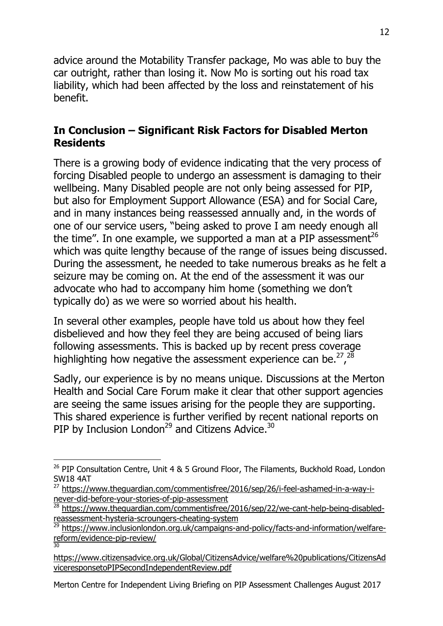advice around the Motability Transfer package, Mo was able to buy the car outright, rather than losing it. Now Mo is sorting out his road tax liability, which had been affected by the loss and reinstatement of his benefit.

### **In Conclusion – Significant Risk Factors for Disabled Merton Residents**

There is a growing body of evidence indicating that the very process of forcing Disabled people to undergo an assessment is damaging to their wellbeing. Many Disabled people are not only being assessed for PIP, but also for Employment Support Allowance (ESA) and for Social Care, and in many instances being reassessed annually and, in the words of one of our service users, "being asked to prove I am needy enough all the time". In one example, we supported a man at a PIP assessment<sup>26</sup> which was quite lengthy because of the range of issues being discussed. During the assessment, he needed to take numerous breaks as he felt a seizure may be coming on. At the end of the assessment it was our advocate who had to accompany him home (something we don't typically do) as we were so worried about his health.

In several other examples, people have told us about how they feel disbelieved and how they feel they are being accused of being liars following assessments. This is backed up by recent press coverage highlighting how negative the assessment experience can be. $^{27}$ ,  $^{28}$ 

Sadly, our experience is by no means unique. Discussions at the Merton Health and Social Care Forum make it clear that other support agencies are seeing the same issues arising for the people they are supporting. This shared experience is further verified by recent national reports on PIP by Inclusion London<sup>29</sup> and Citizens Advice.<sup>30</sup>

 $\overline{a}$ 

Merton Centre for Independent Living Briefing on PIP Assessment Challenges August 2017

<sup>&</sup>lt;sup>26</sup> PIP Consultation Centre, Unit 4 & 5 Ground Floor, The Filaments, Buckhold Road, London SW18 4AT

<sup>&</sup>lt;sup>27</sup> [https://www.theguardian.com/commentisfree/2016/sep/26/i-feel-ashamed-in-a-way-i](https://www.theguardian.com/commentisfree/2016/sep/26/i-feel-ashamed-in-a-way-i-never-did-before-your-stories-of-pip-assessment)[never-did-before-your-stories-of-pip-assessment](https://www.theguardian.com/commentisfree/2016/sep/26/i-feel-ashamed-in-a-way-i-never-did-before-your-stories-of-pip-assessment)

 $\frac{28}{28}$  [https://www.theguardian.com/commentisfree/2016/sep/22/we-cant-help-being-disabled](https://www.theguardian.com/commentisfree/2016/sep/22/we-cant-help-being-disabled-reassessment-hysteria-scroungers-cheating-system)[reassessment-hysteria-scroungers-cheating-system](https://www.theguardian.com/commentisfree/2016/sep/22/we-cant-help-being-disabled-reassessment-hysteria-scroungers-cheating-system)

<sup>29</sup> [https://www.inclusionlondon.org.uk/campaigns-and-policy/facts-and-information/welfare](https://www.inclusionlondon.org.uk/campaigns-and-policy/facts-and-information/welfare-reform/evidence-pip-review/)[reform/evidence-pip-review/](https://www.inclusionlondon.org.uk/campaigns-and-policy/facts-and-information/welfare-reform/evidence-pip-review/) 30

[https://www.citizensadvice.org.uk/Global/CitizensAdvice/welfare%20publications/CitizensAd](https://www.citizensadvice.org.uk/Global/CitizensAdvice/welfare%20publications/CitizensAdviceresponsetoPIPSecondIndependentReview.pdf) [viceresponsetoPIPSecondIndependentReview.pdf](https://www.citizensadvice.org.uk/Global/CitizensAdvice/welfare%20publications/CitizensAdviceresponsetoPIPSecondIndependentReview.pdf)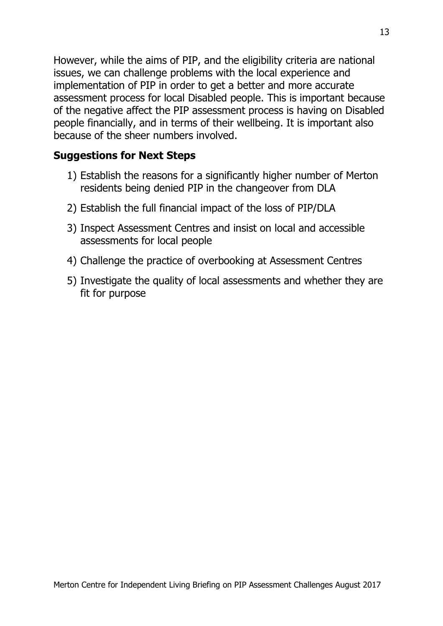However, while the aims of PIP, and the eligibility criteria are national issues, we can challenge problems with the local experience and implementation of PIP in order to get a better and more accurate assessment process for local Disabled people. This is important because of the negative affect the PIP assessment process is having on Disabled people financially, and in terms of their wellbeing. It is important also because of the sheer numbers involved.

#### **Suggestions for Next Steps**

- 1) Establish the reasons for a significantly higher number of Merton residents being denied PIP in the changeover from DLA
- 2) Establish the full financial impact of the loss of PIP/DLA
- 3) Inspect Assessment Centres and insist on local and accessible assessments for local people
- 4) Challenge the practice of overbooking at Assessment Centres
- 5) Investigate the quality of local assessments and whether they are fit for purpose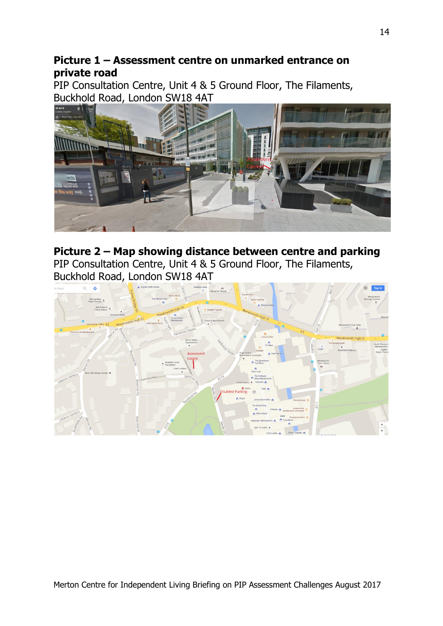### **Picture 1 – Assessment centre on unmarked entrance on private road**

PIP Consultation Centre, Unit 4 & 5 Ground Floor, The Filaments, Buckhold Road, London SW18 4AT



# **Picture 2 – Map showing distance between centre and parking**

PIP Consultation Centre, Unit 4 & 5 Ground Floor, The Filaments, Buckhold Road, London SW18 4AT